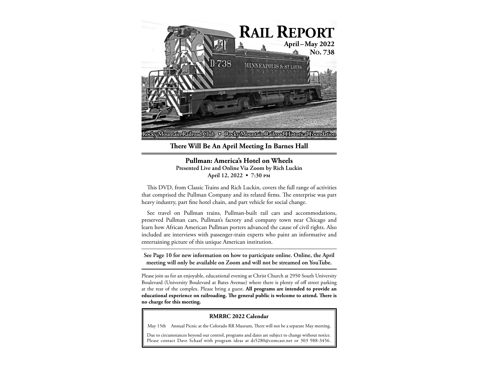

**There Will Be An April Meeting In Barnes Hall**

### **Pullman: America's Hotel on Wheels Presented Live and Online Via Zoom by Rich Luckin**

**April 12, 2022 • 7:30 PM**

This DVD, from Classic Trains and Rich Luckin, covers the full range of activities that comprised the Pullman Company and its related firms. The enterprise was part heavy industry, part fine hotel chain, and part vehicle for social change.

See travel on Pullman trains, Pullman-built rail cars and accommodations, preserved Pullman cars, Pullman's factory and company town near Chicago and learn how African American Pullman porters advanced the cause of civil rights. Also included are interviews with passenger-train experts who paint an informative and entertaining picture of this unique American institution.

**See Page 10 for new information on how to participate online. Online, the April meeting will only be available on Zoom and will not be streamed on YouTube.**

Please join us for an enjoyable, educational evening at Christ Church at 2950 South University Boulevard (University Boulevard at Bates Avenue) where there is plenty of off street parking at the rear of the complex. Please bring a guest. **All programs are intended to provide an educational experience on railroading. The general public is welcome to attend. There is no charge for this meeting.**

#### **RMRRC 2022 Calendar**

May 15th Annual Picnic at the Colorado RR Museum, There will not be a separate May meeting.

Due to circumstances beyond our control, programs and dates are subject to change without notice. Please contact Dave Schaaf with program ideas at ds5280@comcast.net or 303 988-3456.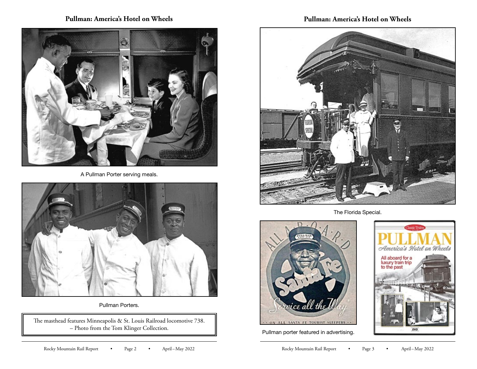## **Pullman: America's Hotel on Wheels**



A Pullman Porter serving meals.



Pullman Porters.

The masthead features Minneapolis & St. Louis Railroad locomotive 738. – Photo from the Tom Klinger Collection.

## **Pullman: America's Hotel on Wheels**



The Florida Special.



Pullman porter featured in advertising.

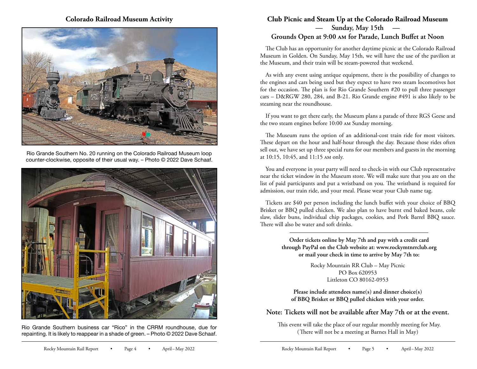### **Colorado Railroad Museum Activity**



Rio Grande Southern No. 20 running on the Colorado Railroad Museum loop counter-clockwise, opposite of their usual way. – Photo © 2022 Dave Schaaf.



Rio Grande Southern business car "Rico" in the CRRM roundhouse, due for repainting. It is likely to reappear in a shade of green. – Photo © 2022 Dave Schaaf.

## **Club Picnic and Steam Up at the Colorado Railroad Museum — Sunday, May 15th — Grounds Open at 9:00 AM for Parade, Lunch Buffet at Noon**

The Club has an opportunity for another daytime picnic at the Colorado Railroad Museum in Golden. On Sunday, May 15th, we will have the use of the pavilion at the Museum, and their train will be steam-powered that weekend.

As with any event using antique equipment, there is the possibility of changes to the engines and cars being used but they expect to have two steam locomotives hot for the occasion. The plan is for Rio Grande Southern #20 to pull three passenger cars – D&RGW 280, 284, and B-21. Rio Grande engine #491 is also likely to be steaming near the roundhouse.

If you want to get there early, the Museum plans a parade of three RGS Geese and the two steam engines before 10:00 AM Sunday morning.

The Museum runs the option of an additional-cost train ride for most visitors. These depart on the hour and half-hour through the day. Because those rides often sell out, we have set up three special runs for our members and guests in the morning at 10:15, 10:45, and 11:15 AM only.

You and everyone in your party will need to check-in with our Club representative near the ticket window in the Museum store. We will make sure that you are on the list of paid participants and put a wristband on you. The wristband is required for admission, our train ride, and your meal. Please wear your Club name tag.

Tickets are \$40 per person including the lunch buffet with your choice of BBQ Brisket or BBQ pulled chicken. We also plan to have burnt end baked beans, cole slaw, slider buns, individual chip packages, cookies, and Pork Barrel BBQ sauce. There will also be water and soft drinks.

> **Order tickets online by May 7th and pay with a credit card through PayPal on the Club website at: www.rockymtnrrclub.org or mail your check in time to arrive by May 7th to:**

> > Rocky Mountain RR Club – May Picnic PO Box 620953 Littleton CO 80162-0953

Please include attendees name(s) and dinner choice(s) **of BBQ Brisket or BBQ pulled chicken with your order.** 

### **Note: Tickets will not be available after May 7th or at the event.**

 This event will take the place of our regular monthly meeting for May. (There will not be a meeting at Barnes Hall in May)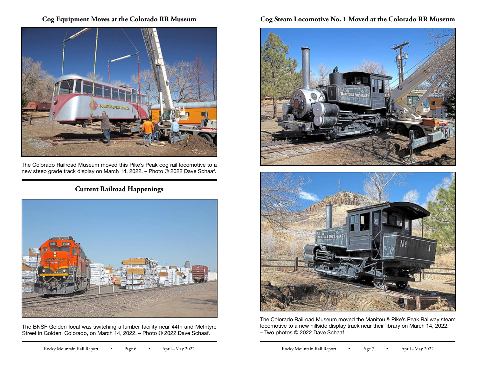## **Cog Equipment Moves at the Colorado RR Museum**



The Colorado Railroad Museum moved this Pike's Peak cog rail locomotive to a new steep grade track display on March 14, 2022. – Photo © 2022 Dave Schaaf.

# **Current Railroad Happenings**



The BNSF Golden local was switching a lumber facility near 44th and McIntyre Street in Golden, Colorado, on March 14, 2022. – Photo © 2022 Dave Schaaf.

# **Cog Steam Locomotive No. 1 Moved at the Colorado RR Museum**





The Colorado Railroad Museum moved the Manitou & Pike's Peak Railway steam locomotive to a new hillside display track near their library on March 14, 2022. – Two photos © 2022 Dave Schaaf.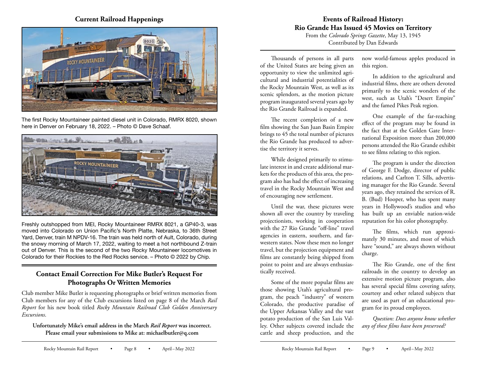### **Current Railroad Happenings**



The first Rocky Mountaineer painted diesel unit in Colorado, RMRX 8020, shown here in Denver on February 18, 2022. – Photo © Dave Schaaf.



Freshly outshopped from MEI, Rocky Mountaineer RMRX 8021, a GP40-3, was moved into Colorado on Union Pacific's North Platte, Nebraska, to 36th Street Yard, Denver, train M NPDV-16. The train was held north of Ault, Colorado, during the snowy morning of March 17, 2022, waiting to meet a hot northbound Z-train out of Denver. This is the second of the two Rocky Mountaineer locomotives in Colorado for their Rockies to the Red Rocks service. – Photo © 2022 by Chip.

# **Contact Email Correction For Mike Butler's Request For Photographs Or Written Memories**

Club member Mike Butler is requesting photographs or brief written memories from Club members for any of the Club excursions listed on page 8 of the March *Rail Report* for his new book titled *Rocky Mountain Railroad Club Golden Anniversary Excursions*.

**Unfortunately Mike's email address in the March** *Rail Report* **was incorrect. Please email your submissions to Mike at: michaelbutler@q.com**

# **Events of Railroad History: Rio Grande Has Issued 45 Movies on Territory**

From the *Colorado Springs Gazette*, May 13, 1945 Contributed by Dan Edwards

Thousands of persons in all parts of the United States are being given an opportunity to view the unlimited agricultural and industrial potentialities of the Rocky Mountain West, as well as its scenic splendors, as the motion picture program inaugurated several years ago by the Rio Grande Railroad is expanded.

The recent completion of a new film showing the San Juan Basin Empire brings to 45 the total number of pictures the Rio Grande has produced to advertise the territory it serves.

While designed primarily to stimulate interest in and create additional markets for the products of this area, the program also has had the effect of increasing travel in the Rocky Mountain West and of encouraging new settlement.

Until the war, these pictures were shown all over the country by traveling projectionists, working in cooperation with the 27 Rio Grande "off-line" travel agencies in eastern, southern, and farwestern states. Now these men no longer travel, but the projection equipment and films are constantly being shipped from point to point and are always enthusiastically received.

Some of the more popular films are those showing Utah's agricultural program, the peach "industry" of western Colorado, the productive paradise of the Upper Arkansas Valley and the vast potato production of the San Luis Valley. Other subjects covered include the cattle and sheep production, and the now world-famous apples produced in this region.

In addition to the agricultural and industrial films, there are others devoted primarily to the scenic wonders of the west, such as Utah's "Desert Empire" and the famed Pikes Peak region.

One example of the far-reaching effect of the program may be found in the fact that at the Golden Gate International Exposition more than 200,000 persons attended the Rio Grande exhibit to see films relating to this region.

The program is under the direction of George F. Dodge, director of public relations, and Carlton T. Sills, advertising manager for the Rio Grande. Several years ago, they retained the services of R. B. (Bud) Hooper, who has spent many years in Hollywood's studios and who has built up an enviable nation-wide reputation for his color photography.

The films, which run approximately 30 minutes, and most of which have "sound," are always shown without charge.

The Rio Grande, one of the first railroads in the country to develop an extensive motion picture program, also has several special films covering safety, courtesy and other related subjects that are used as part of an educational program for its proud employees.

*Question: Does anyone know whether any of these films have been preserved?*